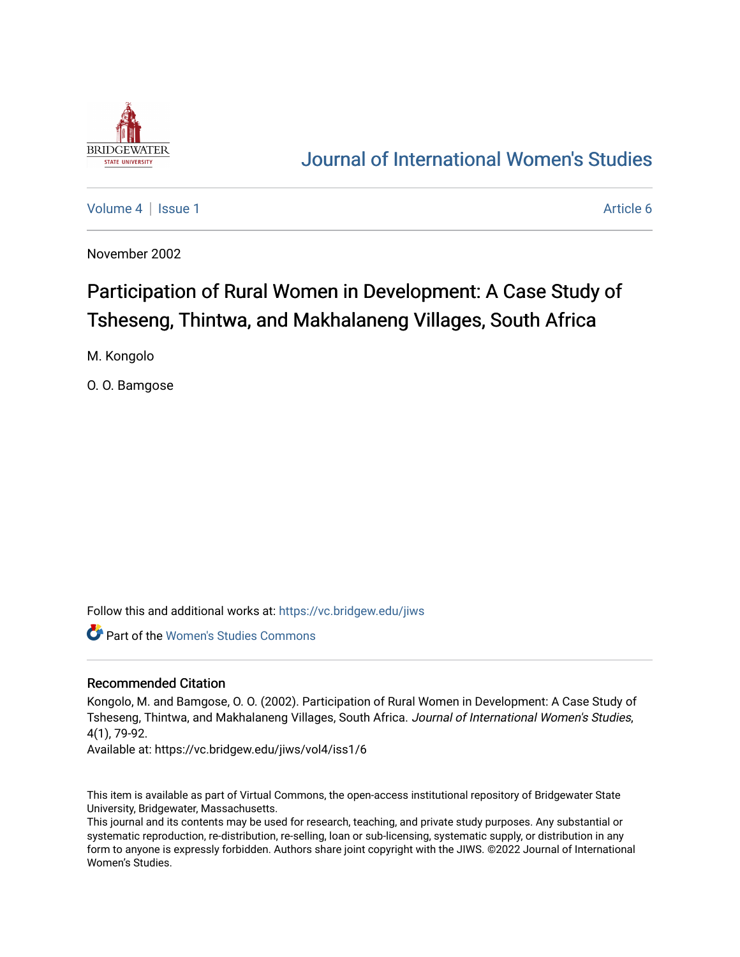

## [Journal of International Women's Studies](https://vc.bridgew.edu/jiws)

[Volume 4](https://vc.bridgew.edu/jiws/vol4) | [Issue 1](https://vc.bridgew.edu/jiws/vol4/iss1) Article 6

November 2002

# Participation of Rural Women in Development: A Case Study of Tsheseng, Thintwa, and Makhalaneng Villages, South Africa

M. Kongolo

O. O. Bamgose

Follow this and additional works at: [https://vc.bridgew.edu/jiws](https://vc.bridgew.edu/jiws?utm_source=vc.bridgew.edu%2Fjiws%2Fvol4%2Fiss1%2F6&utm_medium=PDF&utm_campaign=PDFCoverPages)

Part of the [Women's Studies Commons](http://network.bepress.com/hgg/discipline/561?utm_source=vc.bridgew.edu%2Fjiws%2Fvol4%2Fiss1%2F6&utm_medium=PDF&utm_campaign=PDFCoverPages) 

#### Recommended Citation

Kongolo, M. and Bamgose, O. O. (2002). Participation of Rural Women in Development: A Case Study of Tsheseng, Thintwa, and Makhalaneng Villages, South Africa. Journal of International Women's Studies, 4(1), 79-92.

Available at: https://vc.bridgew.edu/jiws/vol4/iss1/6

This item is available as part of Virtual Commons, the open-access institutional repository of Bridgewater State University, Bridgewater, Massachusetts.

This journal and its contents may be used for research, teaching, and private study purposes. Any substantial or systematic reproduction, re-distribution, re-selling, loan or sub-licensing, systematic supply, or distribution in any form to anyone is expressly forbidden. Authors share joint copyright with the JIWS. ©2022 Journal of International Women's Studies.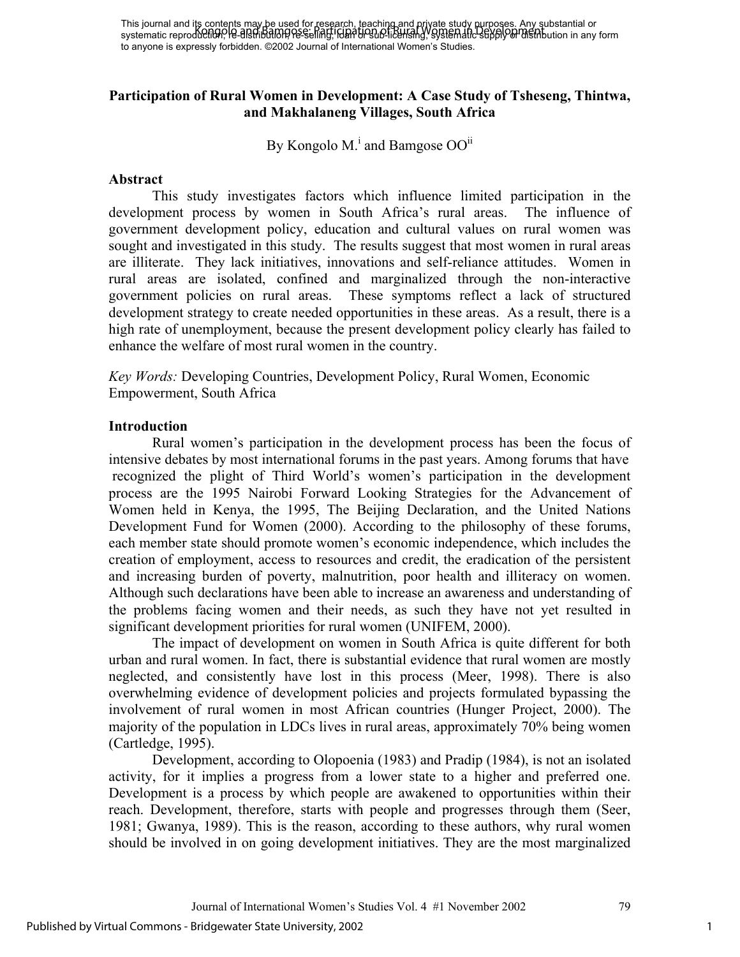This journal and its contents may be used for research, teaching and private study purposes. Any substantial or systematic reprod<del>uction, re-distribution, re-s</del>elling, r<del>oan br sub-licensing, systematic supply or distribut</del>ion in any form to anyone is expressly forbidden. ©2002 Journal of International Women's Studies. Kongolo and Bamgose: Participation of Rural Women in Development

#### **Participation of Rural Women in Development: A Case Study of Tsheseng, Thintwa, and Makhalaneng Villages, South Africa**

By Kongolo M.<sup>i</sup> and Bamgose OO<sup>ii</sup>

#### **Abstract**

This study investigates factors which influence limited participation in the development process by women in South Africa's rural areas. The influence of government development policy, education and cultural values on rural women was sought and investigated in this study. The results suggest that most women in rural areas are illiterate. They lack initiatives, innovations and self-reliance attitudes. Women in rural areas are isolated, confined and marginalized through the non-interactive government policies on rural areas. These symptoms reflect a lack of structured development strategy to create needed opportunities in these areas. As a result, there is a high rate of unemployment, because the present development policy clearly has failed to enhance the welfare of most rural women in the country.

*Key Words:* Developing Countries, Development Policy, Rural Women, Economic Empowerment, South Africa

#### **Introduction**

Rural women's participation in the development process has been the focus of intensive debates by most international forums in the past years. Among forums that have recognized the plight of Third World's women's participation in the development process are the 1995 Nairobi Forward Looking Strategies for the Advancement of Women held in Kenya, the 1995, The Beijing Declaration, and the United Nations Development Fund for Women (2000). According to the philosophy of these forums, each member state should promote women's economic independence, which includes the creation of employment, access to resources and credit, the eradication of the persistent and increasing burden of poverty, malnutrition, poor health and illiteracy on women. Although such declarations have been able to increase an awareness and understanding of the problems facing women and their needs, as such they have not yet resulted in significant development priorities for rural women (UNIFEM, 2000).

The impact of development on women in South Africa is quite different for both urban and rural women. In fact, there is substantial evidence that rural women are mostly neglected, and consistently have lost in this process (Meer, 1998). There is also overwhelming evidence of development policies and projects formulated bypassing the involvement of rural women in most African countries (Hunger Project, 2000). The majority of the population in LDCs lives in rural areas, approximately 70% being women (Cartledge, 1995).

Development, according to Olopoenia (1983) and Pradip (1984), is not an isolated activity, for it implies a progress from a lower state to a higher and preferred one. Development is a process by which people are awakened to opportunities within their reach. Development, therefore, starts with people and progresses through them (Seer, 1981; Gwanya, 1989). This is the reason, according to these authors, why rural women should be involved in on going development initiatives. They are the most marginalized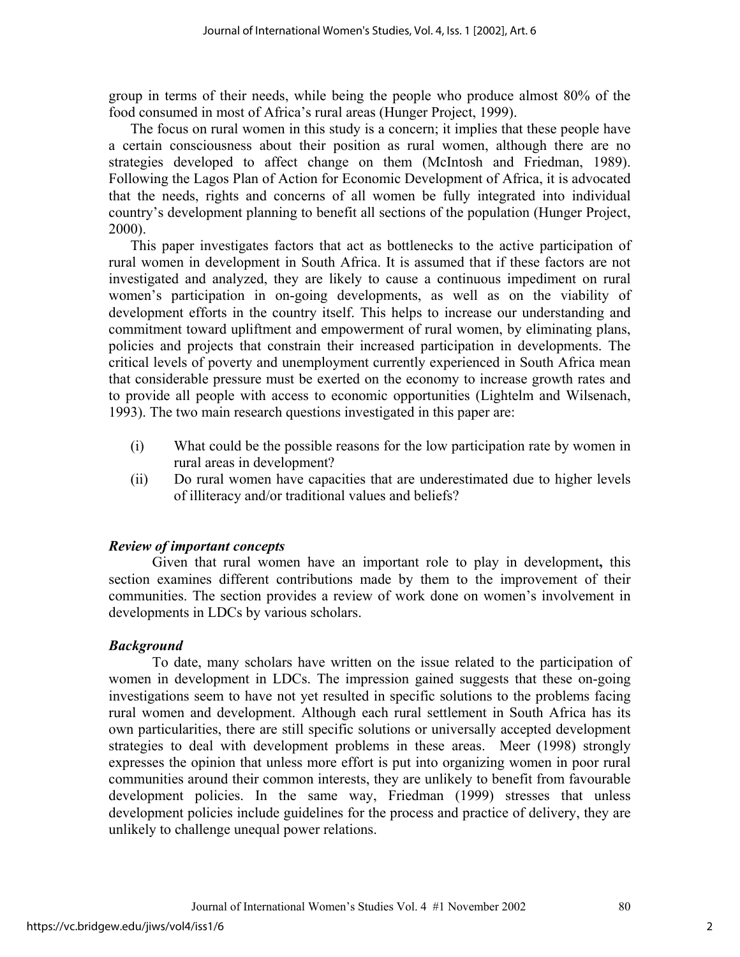group in terms of their needs, while being the people who produce almost 80% of the food consumed in most of Africa's rural areas (Hunger Project, 1999).

The focus on rural women in this study is a concern; it implies that these people have a certain consciousness about their position as rural women, although there are no strategies developed to affect change on them (McIntosh and Friedman, 1989). Following the Lagos Plan of Action for Economic Development of Africa, it is advocated that the needs, rights and concerns of all women be fully integrated into individual country's development planning to benefit all sections of the population (Hunger Project, 2000).

This paper investigates factors that act as bottlenecks to the active participation of rural women in development in South Africa. It is assumed that if these factors are not investigated and analyzed, they are likely to cause a continuous impediment on rural women's participation in on-going developments, as well as on the viability of development efforts in the country itself. This helps to increase our understanding and commitment toward upliftment and empowerment of rural women, by eliminating plans, policies and projects that constrain their increased participation in developments. The critical levels of poverty and unemployment currently experienced in South Africa mean that considerable pressure must be exerted on the economy to increase growth rates and to provide all people with access to economic opportunities (Lightelm and Wilsenach, 1993). The two main research questions investigated in this paper are:

- (i) What could be the possible reasons for the low participation rate by women in rural areas in development?
- (ii) Do rural women have capacities that are underestimated due to higher levels of illiteracy and/or traditional values and beliefs?

## *Review of important concepts*

Given that rural women have an important role to play in development**,** this section examines different contributions made by them to the improvement of their communities. The section provides a review of work done on women's involvement in developments in LDCs by various scholars.

## *Background*

To date, many scholars have written on the issue related to the participation of women in development in LDCs. The impression gained suggests that these on-going investigations seem to have not yet resulted in specific solutions to the problems facing rural women and development. Although each rural settlement in South Africa has its own particularities, there are still specific solutions or universally accepted development strategies to deal with development problems in these areas. Meer (1998) strongly expresses the opinion that unless more effort is put into organizing women in poor rural communities around their common interests, they are unlikely to benefit from favourable development policies. In the same way, Friedman (1999) stresses that unless development policies include guidelines for the process and practice of delivery, they are unlikely to challenge unequal power relations.

2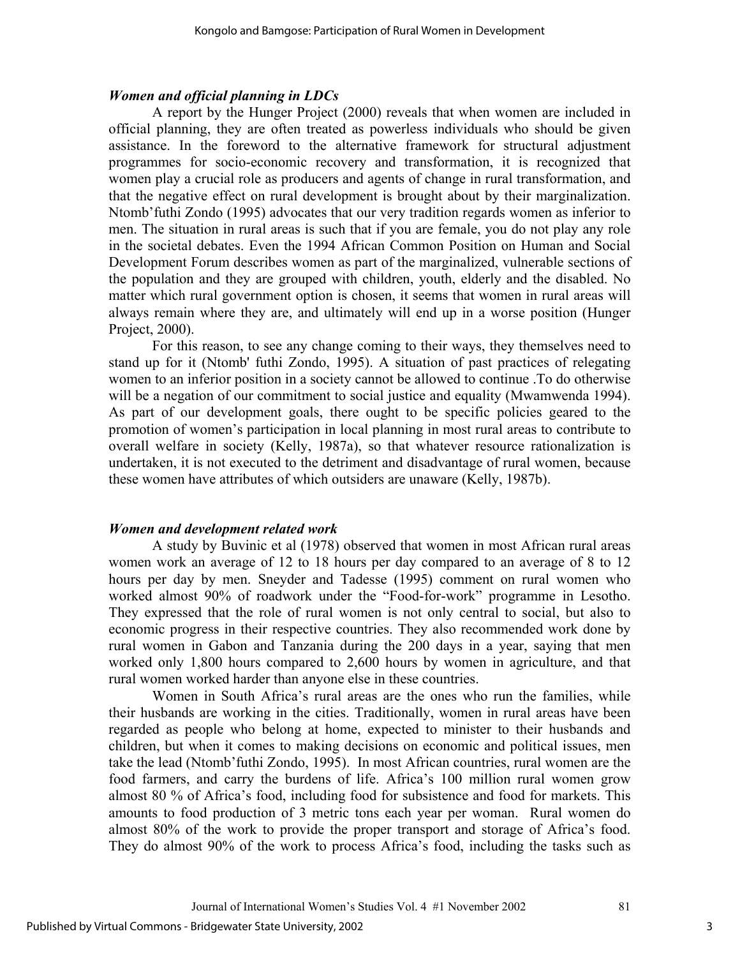#### *Women and official planning in LDCs*

A report by the Hunger Project (2000) reveals that when women are included in official planning, they are often treated as powerless individuals who should be given assistance. In the foreword to the alternative framework for structural adjustment programmes for socio-economic recovery and transformation, it is recognized that women play a crucial role as producers and agents of change in rural transformation, and that the negative effect on rural development is brought about by their marginalization. Ntomb'futhi Zondo (1995) advocates that our very tradition regards women as inferior to men. The situation in rural areas is such that if you are female, you do not play any role in the societal debates. Even the 1994 African Common Position on Human and Social Development Forum describes women as part of the marginalized, vulnerable sections of the population and they are grouped with children, youth, elderly and the disabled. No matter which rural government option is chosen, it seems that women in rural areas will always remain where they are, and ultimately will end up in a worse position (Hunger Project, 2000).

For this reason, to see any change coming to their ways, they themselves need to stand up for it (Ntomb' futhi Zondo, 1995). A situation of past practices of relegating women to an inferior position in a society cannot be allowed to continue .To do otherwise will be a negation of our commitment to social justice and equality (Mwamwenda 1994). As part of our development goals, there ought to be specific policies geared to the promotion of women's participation in local planning in most rural areas to contribute to overall welfare in society (Kelly, 1987a), so that whatever resource rationalization is undertaken, it is not executed to the detriment and disadvantage of rural women, because these women have attributes of which outsiders are unaware (Kelly, 1987b).

#### *Women and development related work*

A study by Buvinic et al (1978) observed that women in most African rural areas women work an average of 12 to 18 hours per day compared to an average of 8 to 12 hours per day by men. Sneyder and Tadesse (1995) comment on rural women who worked almost 90% of roadwork under the "Food-for-work" programme in Lesotho. They expressed that the role of rural women is not only central to social, but also to economic progress in their respective countries. They also recommended work done by rural women in Gabon and Tanzania during the 200 days in a year, saying that men worked only 1,800 hours compared to 2,600 hours by women in agriculture, and that rural women worked harder than anyone else in these countries.

Women in South Africa's rural areas are the ones who run the families, while their husbands are working in the cities. Traditionally, women in rural areas have been regarded as people who belong at home, expected to minister to their husbands and children, but when it comes to making decisions on economic and political issues, men take the lead (Ntomb'futhi Zondo, 1995). In most African countries, rural women are the food farmers, and carry the burdens of life. Africa's 100 million rural women grow almost 80 % of Africa's food, including food for subsistence and food for markets. This amounts to food production of 3 metric tons each year per woman. Rural women do almost 80% of the work to provide the proper transport and storage of Africa's food. They do almost 90% of the work to process Africa's food, including the tasks such as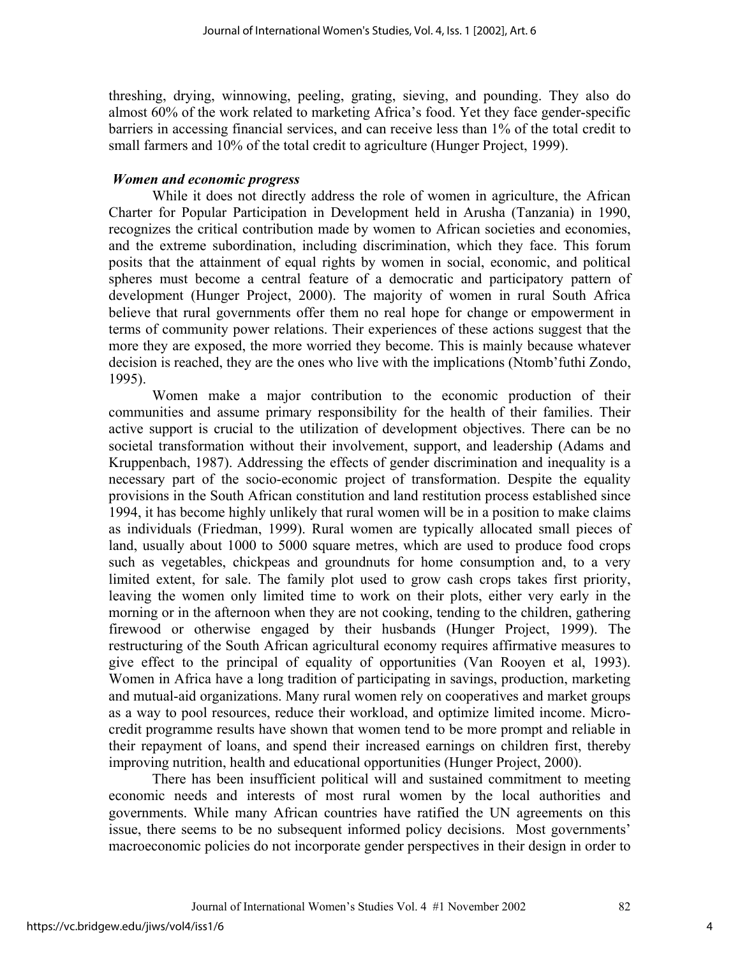threshing, drying, winnowing, peeling, grating, sieving, and pounding. They also do almost 60% of the work related to marketing Africa's food. Yet they face gender-specific barriers in accessing financial services, and can receive less than 1% of the total credit to small farmers and 10% of the total credit to agriculture (Hunger Project, 1999).

#### *Women and economic progress*

While it does not directly address the role of women in agriculture, the African Charter for Popular Participation in Development held in Arusha (Tanzania) in 1990, recognizes the critical contribution made by women to African societies and economies, and the extreme subordination, including discrimination, which they face. This forum posits that the attainment of equal rights by women in social, economic, and political spheres must become a central feature of a democratic and participatory pattern of development (Hunger Project, 2000). The majority of women in rural South Africa believe that rural governments offer them no real hope for change or empowerment in terms of community power relations. Their experiences of these actions suggest that the more they are exposed, the more worried they become. This is mainly because whatever decision is reached, they are the ones who live with the implications (Ntomb'futhi Zondo, 1995).

Women make a major contribution to the economic production of their communities and assume primary responsibility for the health of their families. Their active support is crucial to the utilization of development objectives. There can be no societal transformation without their involvement, support, and leadership (Adams and Kruppenbach, 1987). Addressing the effects of gender discrimination and inequality is a necessary part of the socio-economic project of transformation. Despite the equality provisions in the South African constitution and land restitution process established since 1994, it has become highly unlikely that rural women will be in a position to make claims as individuals (Friedman, 1999). Rural women are typically allocated small pieces of land, usually about 1000 to 5000 square metres, which are used to produce food crops such as vegetables, chickpeas and groundnuts for home consumption and, to a very limited extent, for sale. The family plot used to grow cash crops takes first priority, leaving the women only limited time to work on their plots, either very early in the morning or in the afternoon when they are not cooking, tending to the children, gathering firewood or otherwise engaged by their husbands (Hunger Project, 1999). The restructuring of the South African agricultural economy requires affirmative measures to give effect to the principal of equality of opportunities (Van Rooyen et al, 1993). Women in Africa have a long tradition of participating in savings, production, marketing and mutual-aid organizations. Many rural women rely on cooperatives and market groups as a way to pool resources, reduce their workload, and optimize limited income. Microcredit programme results have shown that women tend to be more prompt and reliable in their repayment of loans, and spend their increased earnings on children first, thereby improving nutrition, health and educational opportunities (Hunger Project, 2000).

There has been insufficient political will and sustained commitment to meeting economic needs and interests of most rural women by the local authorities and governments. While many African countries have ratified the UN agreements on this issue, there seems to be no subsequent informed policy decisions. Most governments' macroeconomic policies do not incorporate gender perspectives in their design in order to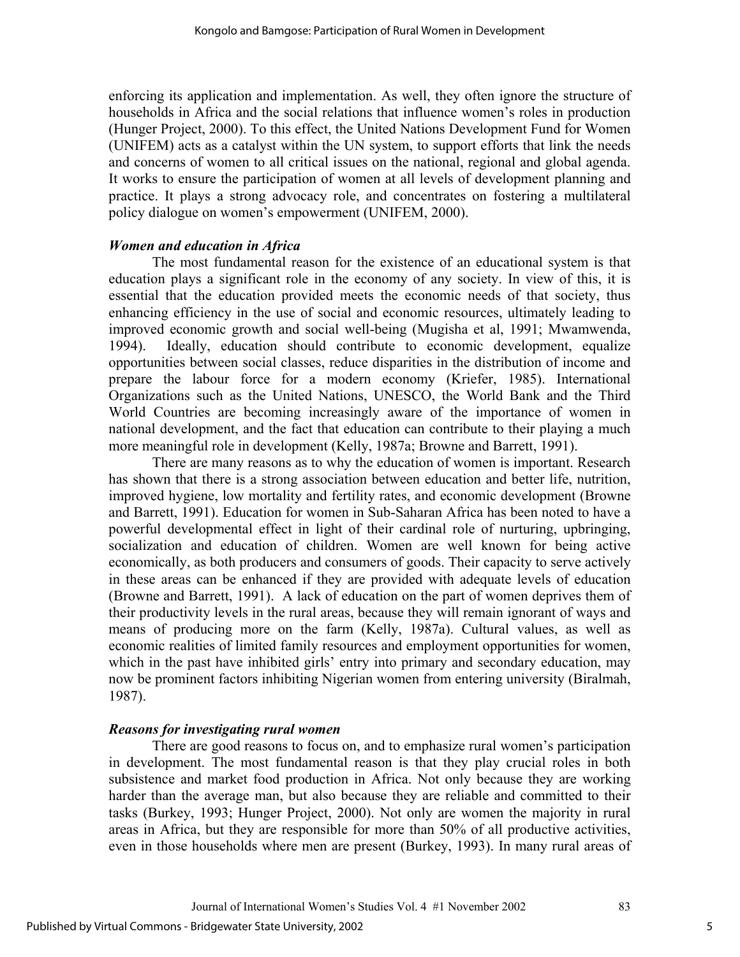enforcing its application and implementation. As well, they often ignore the structure of households in Africa and the social relations that influence women's roles in production (Hunger Project, 2000). To this effect, the United Nations Development Fund for Women (UNIFEM) acts as a catalyst within the UN system, to support efforts that link the needs and concerns of women to all critical issues on the national, regional and global agenda. It works to ensure the participation of women at all levels of development planning and practice. It plays a strong advocacy role, and concentrates on fostering a multilateral policy dialogue on women's empowerment (UNIFEM, 2000).

#### *Women and education in Africa*

The most fundamental reason for the existence of an educational system is that education plays a significant role in the economy of any society. In view of this, it is essential that the education provided meets the economic needs of that society, thus enhancing efficiency in the use of social and economic resources, ultimately leading to improved economic growth and social well-being (Mugisha et al, 1991; Mwamwenda, 1994). Ideally, education should contribute to economic development, equalize opportunities between social classes, reduce disparities in the distribution of income and prepare the labour force for a modern economy (Kriefer, 1985). International Organizations such as the United Nations, UNESCO, the World Bank and the Third World Countries are becoming increasingly aware of the importance of women in national development, and the fact that education can contribute to their playing a much more meaningful role in development (Kelly, 1987a; Browne and Barrett, 1991).

There are many reasons as to why the education of women is important. Research has shown that there is a strong association between education and better life, nutrition, improved hygiene, low mortality and fertility rates, and economic development (Browne and Barrett, 1991). Education for women in Sub-Saharan Africa has been noted to have a powerful developmental effect in light of their cardinal role of nurturing, upbringing, socialization and education of children. Women are well known for being active economically, as both producers and consumers of goods. Their capacity to serve actively in these areas can be enhanced if they are provided with adequate levels of education (Browne and Barrett, 1991). A lack of education on the part of women deprives them of their productivity levels in the rural areas, because they will remain ignorant of ways and means of producing more on the farm (Kelly, 1987a). Cultural values, as well as economic realities of limited family resources and employment opportunities for women, which in the past have inhibited girls' entry into primary and secondary education, may now be prominent factors inhibiting Nigerian women from entering university (Biralmah, 1987).

## *Reasons for investigating rural women*

There are good reasons to focus on, and to emphasize rural women's participation in development. The most fundamental reason is that they play crucial roles in both subsistence and market food production in Africa. Not only because they are working harder than the average man, but also because they are reliable and committed to their tasks (Burkey, 1993; Hunger Project, 2000). Not only are women the majority in rural areas in Africa, but they are responsible for more than 50% of all productive activities, even in those households where men are present (Burkey, 1993). In many rural areas of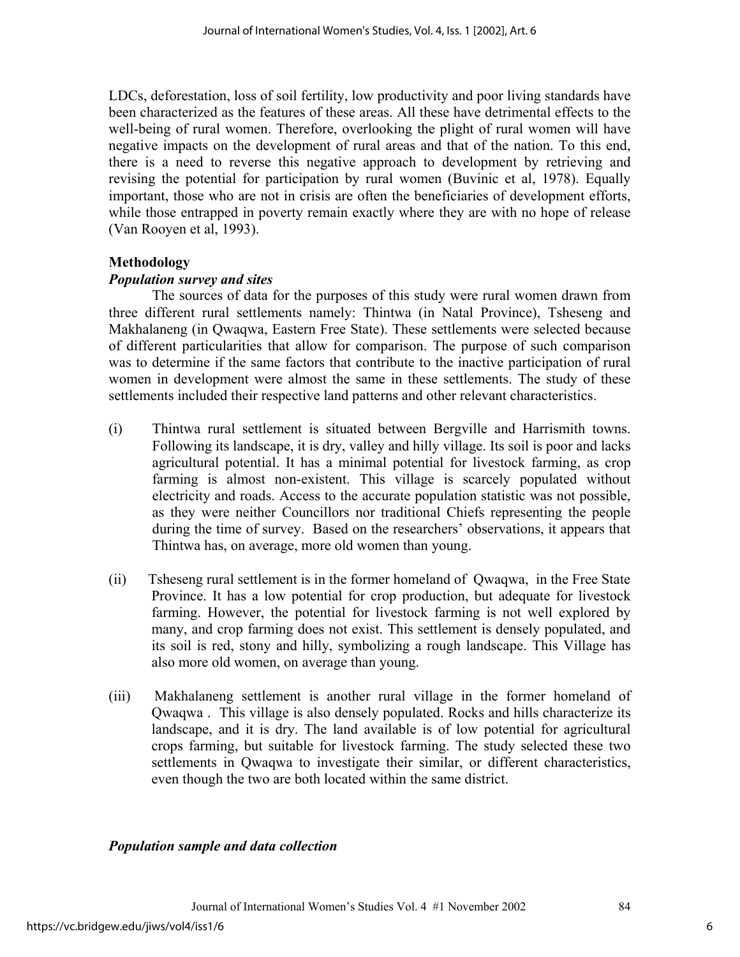LDCs, deforestation, loss of soil fertility, low productivity and poor living standards have been characterized as the features of these areas. All these have detrimental effects to the well-being of rural women. Therefore, overlooking the plight of rural women will have negative impacts on the development of rural areas and that of the nation. To this end, there is a need to reverse this negative approach to development by retrieving and revising the potential for participation by rural women (Buvinic et al, 1978). Equally important, those who are not in crisis are often the beneficiaries of development efforts, while those entrapped in poverty remain exactly where they are with no hope of release (Van Rooyen et al, 1993).

## **Methodology**

#### *Population survey and sites*

The sources of data for the purposes of this study were rural women drawn from three different rural settlements namely: Thintwa (in Natal Province), Tsheseng and Makhalaneng (in Qwaqwa, Eastern Free State). These settlements were selected because of different particularities that allow for comparison. The purpose of such comparison was to determine if the same factors that contribute to the inactive participation of rural women in development were almost the same in these settlements. The study of these settlements included their respective land patterns and other relevant characteristics.

- (i) Thintwa rural settlement is situated between Bergville and Harrismith towns. Following its landscape, it is dry, valley and hilly village. Its soil is poor and lacks agricultural potential. It has a minimal potential for livestock farming, as crop farming is almost non-existent. This village is scarcely populated without electricity and roads. Access to the accurate population statistic was not possible, as they were neither Councillors nor traditional Chiefs representing the people during the time of survey. Based on the researchers' observations, it appears that Thintwa has, on average, more old women than young.
- (ii) Tsheseng rural settlement is in the former homeland of Qwaqwa, in the Free State Province. It has a low potential for crop production, but adequate for livestock farming. However, the potential for livestock farming is not well explored by many, and crop farming does not exist. This settlement is densely populated, and its soil is red, stony and hilly, symbolizing a rough landscape. This Village has also more old women, on average than young.
- (iii) Makhalaneng settlement is another rural village in the former homeland of Qwaqwa . This village is also densely populated. Rocks and hills characterize its landscape, and it is dry. The land available is of low potential for agricultural crops farming, but suitable for livestock farming. The study selected these two settlements in Qwaqwa to investigate their similar, or different characteristics, even though the two are both located within the same district.

#### *Population sample and data collection*

6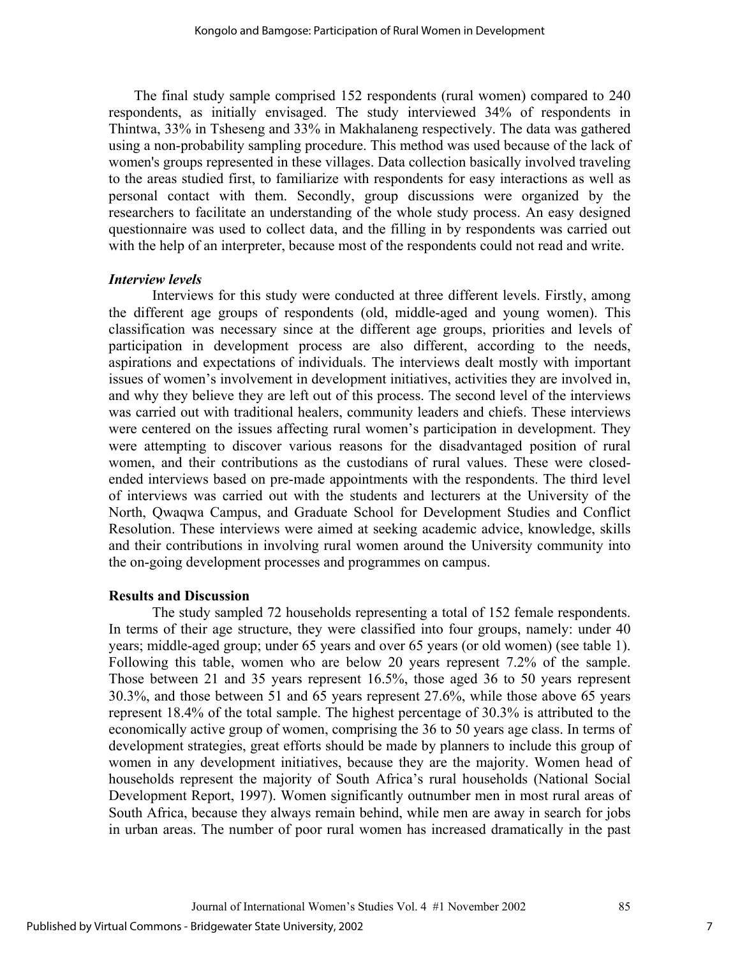The final study sample comprised 152 respondents (rural women) compared to 240 respondents, as initially envisaged. The study interviewed 34% of respondents in Thintwa, 33% in Tsheseng and 33% in Makhalaneng respectively. The data was gathered using a non-probability sampling procedure. This method was used because of the lack of women's groups represented in these villages. Data collection basically involved traveling to the areas studied first, to familiarize with respondents for easy interactions as well as personal contact with them. Secondly, group discussions were organized by the researchers to facilitate an understanding of the whole study process. An easy designed questionnaire was used to collect data, and the filling in by respondents was carried out with the help of an interpreter, because most of the respondents could not read and write.

#### *Interview levels*

Interviews for this study were conducted at three different levels. Firstly, among the different age groups of respondents (old, middle-aged and young women). This classification was necessary since at the different age groups, priorities and levels of participation in development process are also different, according to the needs, aspirations and expectations of individuals. The interviews dealt mostly with important issues of women's involvement in development initiatives, activities they are involved in, and why they believe they are left out of this process. The second level of the interviews was carried out with traditional healers, community leaders and chiefs. These interviews were centered on the issues affecting rural women's participation in development. They were attempting to discover various reasons for the disadvantaged position of rural women, and their contributions as the custodians of rural values. These were closedended interviews based on pre-made appointments with the respondents. The third level of interviews was carried out with the students and lecturers at the University of the North, Qwaqwa Campus, and Graduate School for Development Studies and Conflict Resolution. These interviews were aimed at seeking academic advice, knowledge, skills and their contributions in involving rural women around the University community into the on-going development processes and programmes on campus.

#### **Results and Discussion**

The study sampled 72 households representing a total of 152 female respondents. In terms of their age structure, they were classified into four groups, namely: under 40 years; middle-aged group; under 65 years and over 65 years (or old women) (see table 1). Following this table, women who are below 20 years represent 7.2% of the sample. Those between 21 and 35 years represent 16.5%, those aged 36 to 50 years represent 30.3%, and those between 51 and 65 years represent 27.6%, while those above 65 years represent 18.4% of the total sample. The highest percentage of 30.3% is attributed to the economically active group of women, comprising the 36 to 50 years age class. In terms of development strategies, great efforts should be made by planners to include this group of women in any development initiatives, because they are the majority. Women head of households represent the majority of South Africa's rural households (National Social Development Report, 1997). Women significantly outnumber men in most rural areas of South Africa, because they always remain behind, while men are away in search for jobs in urban areas. The number of poor rural women has increased dramatically in the past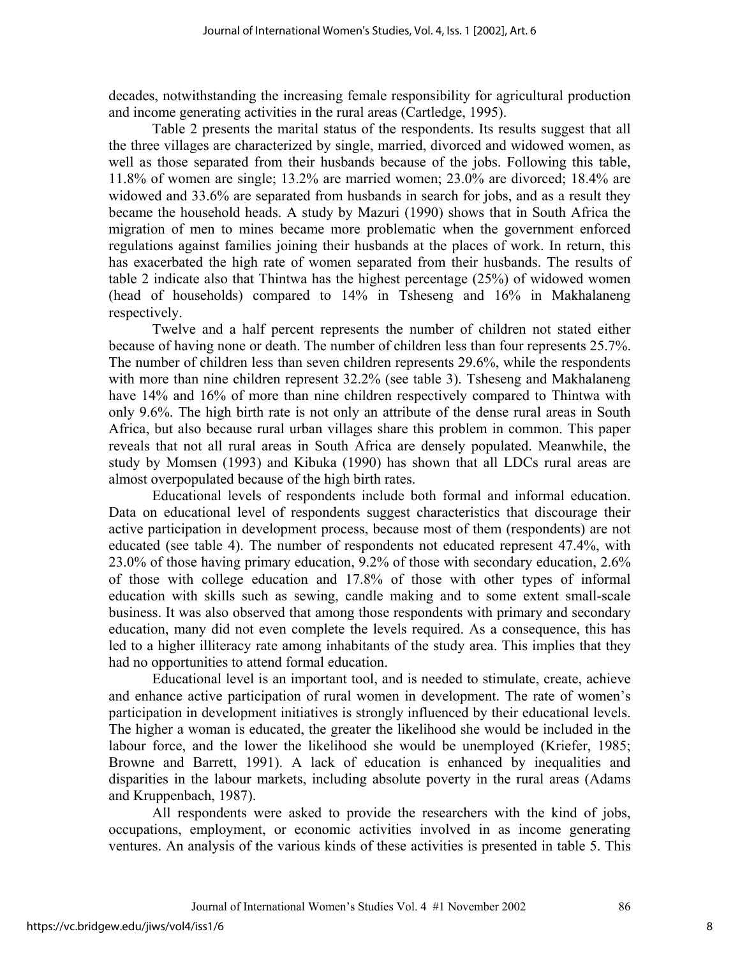decades, notwithstanding the increasing female responsibility for agricultural production and income generating activities in the rural areas (Cartledge, 1995).

Table 2 presents the marital status of the respondents. Its results suggest that all the three villages are characterized by single, married, divorced and widowed women, as well as those separated from their husbands because of the jobs. Following this table, 11.8% of women are single; 13.2% are married women; 23.0% are divorced; 18.4% are widowed and 33.6% are separated from husbands in search for jobs, and as a result they became the household heads. A study by Mazuri (1990) shows that in South Africa the migration of men to mines became more problematic when the government enforced regulations against families joining their husbands at the places of work. In return, this has exacerbated the high rate of women separated from their husbands. The results of table 2 indicate also that Thintwa has the highest percentage (25%) of widowed women (head of households) compared to 14% in Tsheseng and 16% in Makhalaneng respectively.

Twelve and a half percent represents the number of children not stated either because of having none or death. The number of children less than four represents 25.7%. The number of children less than seven children represents 29.6%, while the respondents with more than nine children represent 32.2% (see table 3). Tsheseng and Makhalaneng have 14% and 16% of more than nine children respectively compared to Thintwa with only 9.6%. The high birth rate is not only an attribute of the dense rural areas in South Africa, but also because rural urban villages share this problem in common. This paper reveals that not all rural areas in South Africa are densely populated. Meanwhile, the study by Momsen (1993) and Kibuka (1990) has shown that all LDCs rural areas are almost overpopulated because of the high birth rates.

Educational levels of respondents include both formal and informal education. Data on educational level of respondents suggest characteristics that discourage their active participation in development process, because most of them (respondents) are not educated (see table 4). The number of respondents not educated represent 47.4%, with 23.0% of those having primary education, 9.2% of those with secondary education, 2.6% of those with college education and 17.8% of those with other types of informal education with skills such as sewing, candle making and to some extent small-scale business. It was also observed that among those respondents with primary and secondary education, many did not even complete the levels required. As a consequence, this has led to a higher illiteracy rate among inhabitants of the study area. This implies that they had no opportunities to attend formal education.

Educational level is an important tool, and is needed to stimulate, create, achieve and enhance active participation of rural women in development. The rate of women's participation in development initiatives is strongly influenced by their educational levels. The higher a woman is educated, the greater the likelihood she would be included in the labour force, and the lower the likelihood she would be unemployed (Kriefer, 1985; Browne and Barrett, 1991). A lack of education is enhanced by inequalities and disparities in the labour markets, including absolute poverty in the rural areas (Adams and Kruppenbach, 1987).

All respondents were asked to provide the researchers with the kind of jobs, occupations, employment, or economic activities involved in as income generating ventures. An analysis of the various kinds of these activities is presented in table 5. This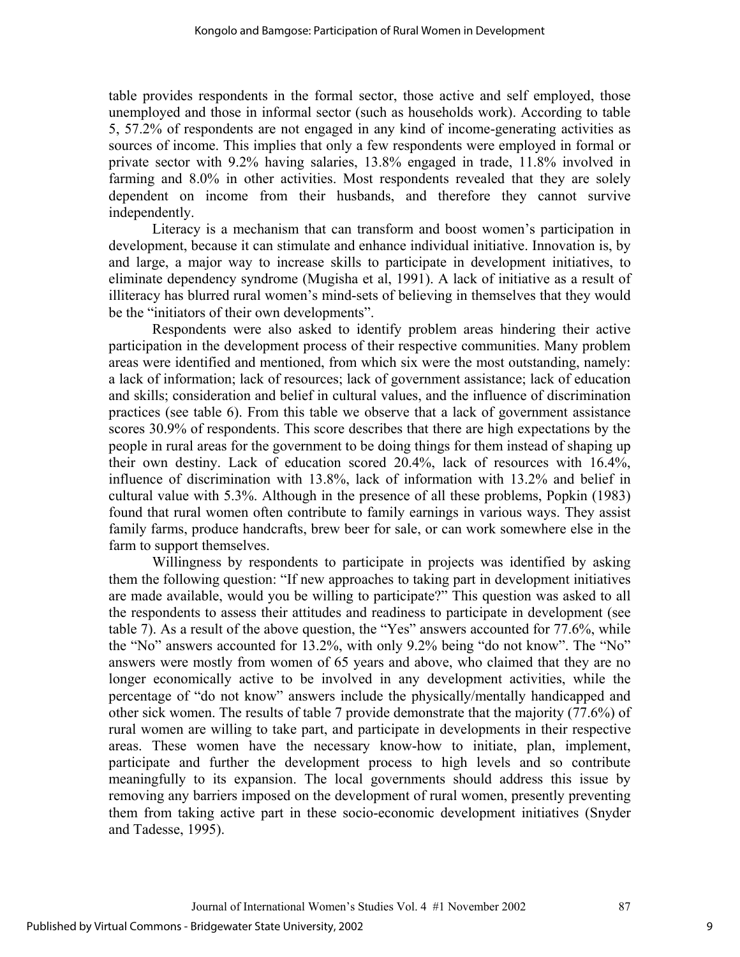table provides respondents in the formal sector, those active and self employed, those unemployed and those in informal sector (such as households work). According to table 5, 57.2% of respondents are not engaged in any kind of income-generating activities as sources of income. This implies that only a few respondents were employed in formal or private sector with 9.2% having salaries, 13.8% engaged in trade, 11.8% involved in farming and 8.0% in other activities. Most respondents revealed that they are solely dependent on income from their husbands, and therefore they cannot survive independently.

Literacy is a mechanism that can transform and boost women's participation in development, because it can stimulate and enhance individual initiative. Innovation is, by and large, a major way to increase skills to participate in development initiatives, to eliminate dependency syndrome (Mugisha et al, 1991). A lack of initiative as a result of illiteracy has blurred rural women's mind-sets of believing in themselves that they would be the "initiators of their own developments".

Respondents were also asked to identify problem areas hindering their active participation in the development process of their respective communities. Many problem areas were identified and mentioned, from which six were the most outstanding, namely: a lack of information; lack of resources; lack of government assistance; lack of education and skills; consideration and belief in cultural values, and the influence of discrimination practices (see table 6). From this table we observe that a lack of government assistance scores 30.9% of respondents. This score describes that there are high expectations by the people in rural areas for the government to be doing things for them instead of shaping up their own destiny. Lack of education scored 20.4%, lack of resources with 16.4%, influence of discrimination with 13.8%, lack of information with 13.2% and belief in cultural value with 5.3%. Although in the presence of all these problems, Popkin (1983) found that rural women often contribute to family earnings in various ways. They assist family farms, produce handcrafts, brew beer for sale, or can work somewhere else in the farm to support themselves.

Willingness by respondents to participate in projects was identified by asking them the following question: "If new approaches to taking part in development initiatives are made available, would you be willing to participate?" This question was asked to all the respondents to assess their attitudes and readiness to participate in development (see table 7). As a result of the above question, the "Yes" answers accounted for 77.6%, while the "No" answers accounted for 13.2%, with only 9.2% being "do not know". The "No" answers were mostly from women of 65 years and above, who claimed that they are no longer economically active to be involved in any development activities, while the percentage of "do not know" answers include the physically/mentally handicapped and other sick women. The results of table 7 provide demonstrate that the majority (77.6%) of rural women are willing to take part, and participate in developments in their respective areas. These women have the necessary know-how to initiate, plan, implement, participate and further the development process to high levels and so contribute meaningfully to its expansion. The local governments should address this issue by removing any barriers imposed on the development of rural women, presently preventing them from taking active part in these socio-economic development initiatives (Snyder and Tadesse, 1995).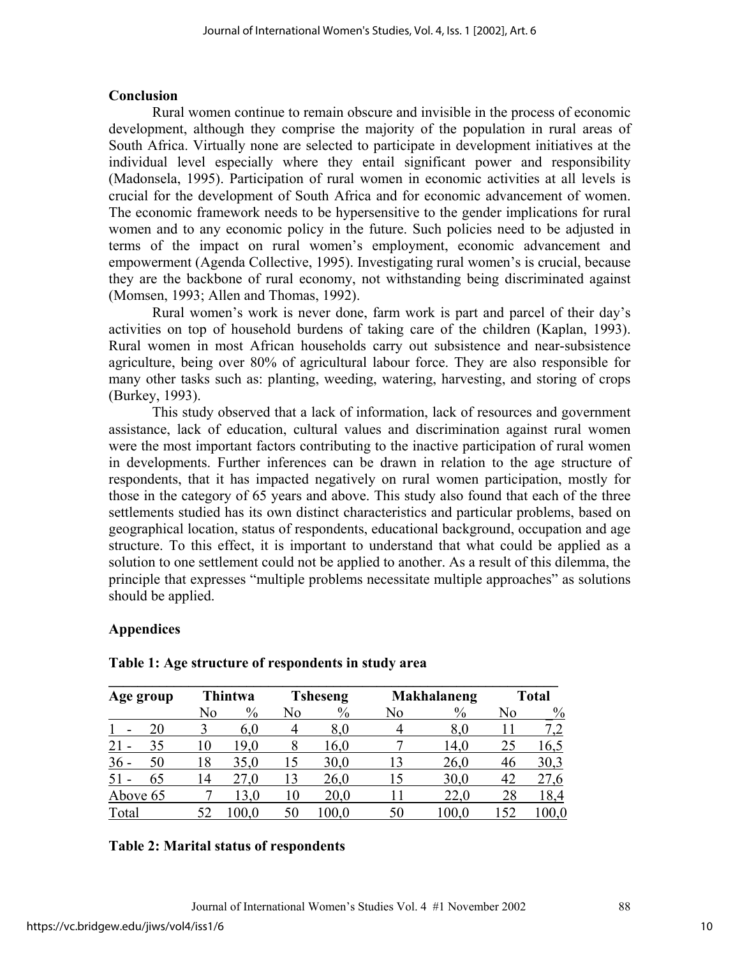#### **Conclusion**

Rural women continue to remain obscure and invisible in the process of economic development, although they comprise the majority of the population in rural areas of South Africa. Virtually none are selected to participate in development initiatives at the individual level especially where they entail significant power and responsibility (Madonsela, 1995). Participation of rural women in economic activities at all levels is crucial for the development of South Africa and for economic advancement of women. The economic framework needs to be hypersensitive to the gender implications for rural women and to any economic policy in the future. Such policies need to be adjusted in terms of the impact on rural women's employment, economic advancement and empowerment (Agenda Collective, 1995). Investigating rural women's is crucial, because they are the backbone of rural economy, not withstanding being discriminated against (Momsen, 1993; Allen and Thomas, 1992).

Rural women's work is never done, farm work is part and parcel of their day's activities on top of household burdens of taking care of the children (Kaplan, 1993). Rural women in most African households carry out subsistence and near-subsistence agriculture, being over 80% of agricultural labour force. They are also responsible for many other tasks such as: planting, weeding, watering, harvesting, and storing of crops (Burkey, 1993).

This study observed that a lack of information, lack of resources and government assistance, lack of education, cultural values and discrimination against rural women were the most important factors contributing to the inactive participation of rural women in developments. Further inferences can be drawn in relation to the age structure of respondents, that it has impacted negatively on rural women participation, mostly for those in the category of 65 years and above. This study also found that each of the three settlements studied has its own distinct characteristics and particular problems, based on geographical location, status of respondents, educational background, occupation and age structure. To this effect, it is important to understand that what could be applied as a solution to one settlement could not be applied to another. As a result of this dilemma, the principle that expresses "multiple problems necessitate multiple approaches" as solutions should be applied.

## **Appendices**

| Age group | <b>Thintwa</b> |       | <b>Tsheseng</b> |      |    | <b>Makhalaneng</b> | <b>Total</b> |           |  |
|-----------|----------------|-------|-----------------|------|----|--------------------|--------------|-----------|--|
|           | $\%$<br>No     |       | No              | $\%$ | No | $\%$               | No           | $\%$      |  |
| 20        |                | 6.0   |                 | 8.0  |    | 8,0                |              | 7,2       |  |
| 21<br>35  | 10             | 19,0  | 8               | 16,0 |    | 14,0               | 25           | 16,5      |  |
| 36<br>50  | 18             | 35,0  | 15              | 30,0 | 13 | 26,0               | 46           | 30,3      |  |
| 65        | 14             | 27,0  | 13              | 26,0 | 15 | 30,0               | 42           | 27,6      |  |
| Above 65  |                | 13,0  | 10              | 20,0 |    | 22,0               | 28           | 18,4      |  |
| Total     |                | 100.0 | 50              | 0.00 | 50 | $100.0\,$          | 152          | $100{,}0$ |  |

#### **Table 1: Age structure of respondents in study area**

#### **Table 2: Marital status of respondents**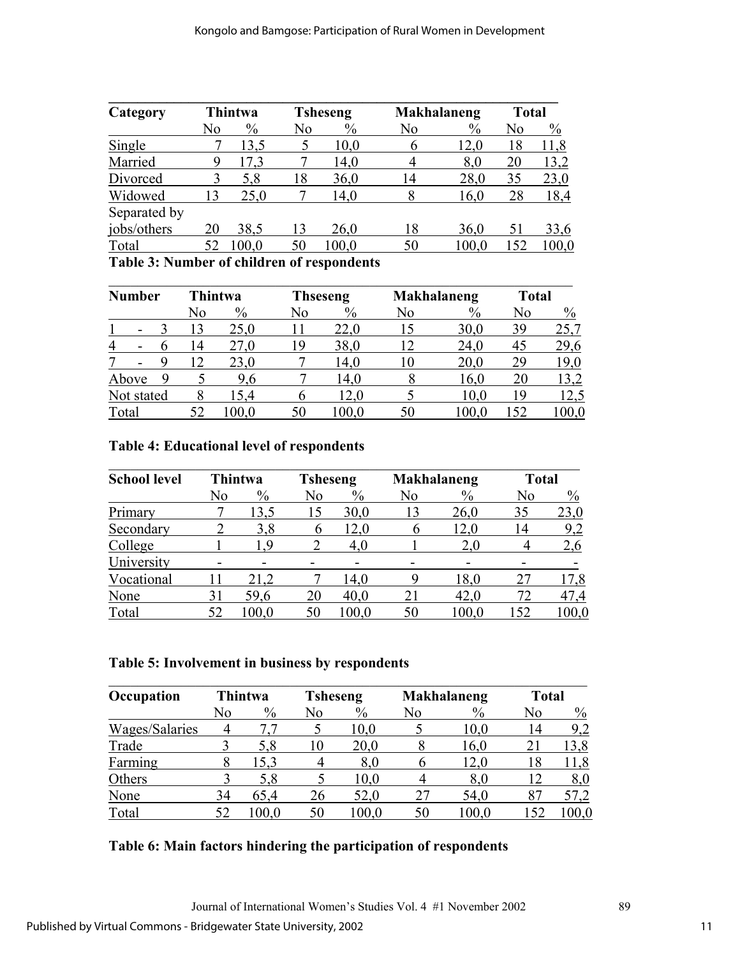| Category        | Thintwa |               | <b>Tsheseng</b> |       | <b>Makhalaneng</b> | <b>Total</b> |     |       |
|-----------------|---------|---------------|-----------------|-------|--------------------|--------------|-----|-------|
|                 | No      | $\frac{0}{0}$ | No              | $\%$  | No                 | $\%$         | No  | $\%$  |
| Single          |         | 13,5          |                 | 10,0  | 6                  | 12,0         | 18  | 11,8  |
| Married         | 9       | 17.3          |                 | 14,0  | 4                  | 8,0          | 20  | 13,2  |
| Divorced        |         | 5,8           | 18              | 36,0  | 14                 | 28,0         | 35  | 23,0  |
| Widowed         | 13      | 25,0          |                 | 14,0  | 8                  | 16,0         | 28  | 18,4  |
| Separated by    |         |               |                 |       |                    |              |     |       |
| jobs/others     | 20      | 38,5          | 13              | 26,0  | 18                 | 36,0         | 51  | 33,6  |
| Total           | 52      | 100.0         | 50              | 100.0 | 50                 | 100.0        | 152 | 100,0 |
| -- - -<br>$  -$ |         | .             | $\mathbf{r}$    |       |                    |              |     |       |

**Table 3: Number of children of respondents** 

| <b>Number</b>                 |  | <b>Thintwa</b> |    | <b>Thseseng</b> |    |               | <b>Makhalaneng</b> | <b>Total</b>  |     |      |
|-------------------------------|--|----------------|----|-----------------|----|---------------|--------------------|---------------|-----|------|
|                               |  |                | No | $\%$            | No | $\frac{0}{0}$ | No                 | $\frac{0}{0}$ | No  | $\%$ |
|                               |  |                | 13 | 25,0            |    | 22,0          | 15                 | 30,0          | 39  | 25,7 |
| $\overline{4}$                |  | b              | 14 | 27,0            | 19 | 38,0          | 12                 | 24,0          | 45  | 29,6 |
| 7<br>$\overline{\phantom{a}}$ |  |                | 12 | 23,0            |    | 14,0          | 10                 | 20,0          | 29  | 19,0 |
| Above                         |  |                |    | 9,6             |    | 14,0          |                    | 16,0          | 20  | 13,2 |
| Not stated                    |  |                | 8  | l 5.4           | 6  | 12,0          |                    | 10,0          | 19  | 12,5 |
| Total                         |  |                | 52 | 00.0            | 50 | 100.0         | 50                 | l 00.0        | .52 |      |

## **Table 4: Educational level of respondents**

| <b>School level</b> | Thintwa |       | <b>Tsheseng</b> |           | <b>Makhalaneng</b> |       | <b>Total</b> |               |
|---------------------|---------|-------|-----------------|-----------|--------------------|-------|--------------|---------------|
|                     | No      | $\%$  | No              | $\%$      | No                 | $\%$  | No           | $\frac{0}{0}$ |
| Primary             |         | 13,5  | 15              | 30,0      | 13                 | 26,0  | 35           | 23,0          |
| Secondary           |         | 3,8   | b               | 12,0      |                    | 12,0  | 14           | 9,2           |
| College             |         | 19    |                 | 4,0       |                    | 2,0   | 4            | 2,6           |
| University          |         |       |                 |           |                    |       |              |               |
| Vocational          |         | 21,2  |                 | 14,0      | 9                  | 18,0  | 27           | 17,8          |
| None                | 31      | 59,6  | 20              | 40,0      | 21                 | 42,0  | 72           | 47,4          |
| Total               | 52      | 100.0 | 50              | $100{,}0$ | 50                 | 100,0 | 152          | $100{,}0$     |

## **Table 5: Involvement in business by respondents**

| Occupation     | <b>Thintwa</b> |       | <b>Tsheseng</b> |       |    | <b>Makhalaneng</b> | <b>Total</b> |      |
|----------------|----------------|-------|-----------------|-------|----|--------------------|--------------|------|
|                | No             | $\%$  | No              | $\%$  | No | $\%$               | No           | $\%$ |
| Wages/Salaries |                |       |                 | 10,0  |    | 10.0               | 14           | 9,2  |
| Trade          |                | 5,8   | 10              | 20,0  |    | 16,0               | 21           | 13,8 |
| Farming        | 8              | 15,3  |                 | 8,0   | b  | 12,0               | 18           | 11,8 |
| Others         |                | 5,8   |                 | 10,0  |    | 8,0                | 12           | 8,0  |
| None           | 34             | 65.4  | 26              | 52,0  | 27 | 54,0               |              | 57,2 |
| Total          |                | 100.0 | 50              | 100.0 | 50 | 100.0              | 152          |      |

## **Table 6: Main factors hindering the participation of respondents**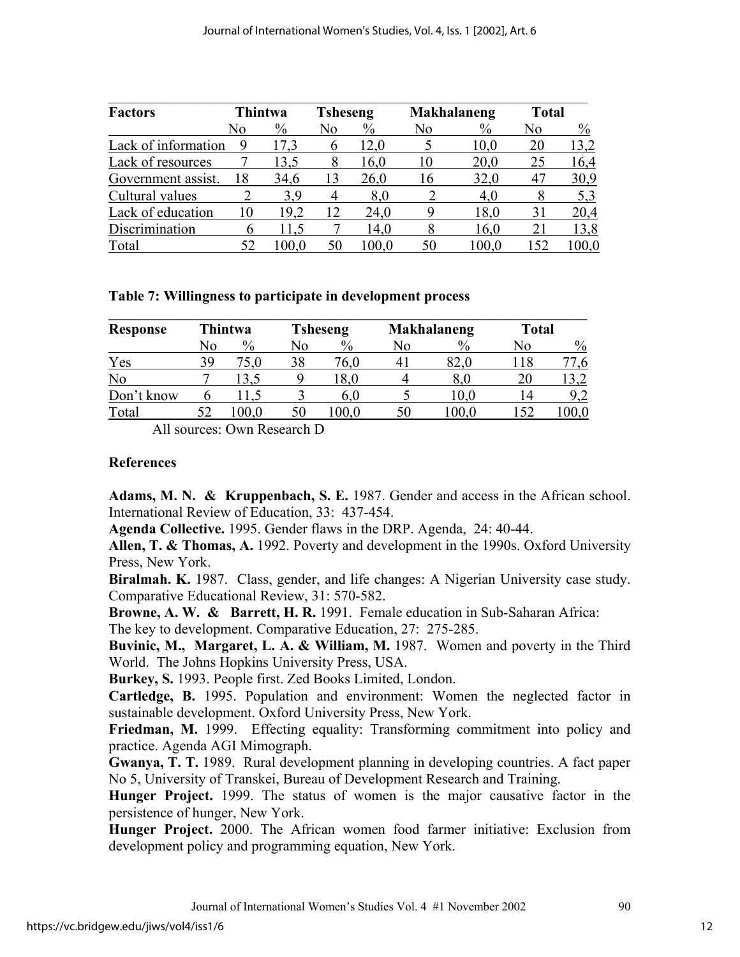| <b>Factors</b>      | <b>Thintwa</b> |      | <b>Tsheseng</b> |      |    | <b>Makhalaneng</b> | <b>Total</b>   |               |
|---------------------|----------------|------|-----------------|------|----|--------------------|----------------|---------------|
|                     | No             | $\%$ | N0              | $\%$ | No | $\%$               | N <sub>0</sub> | $\frac{0}{0}$ |
| Lack of information | 9              | 17,3 | b               | 12,0 |    | 10,0               | 20             | 13,2          |
| Lack of resources   |                | 13,5 | 8               | 16,0 | 10 | 20,0               | 25             | 16,4          |
| Government assist.  | 18             | 34,6 | 13              | 26,0 | 16 | 32,0               | 47             | 30,9          |
| Cultural values     |                | 3.9  | 4               | 8,0  |    | 4,0                | 8              | 5,3           |
| Lack of education   | 10             | 19,2 | 12              | 24,0 | 9  | 18,0               | 31             | 20,4          |
| Discrimination      | h              | 11.5 |                 | 14,0 |    | 16,0               | 21             | 13,8          |
| Total               |                | 00.0 | 50              | 0.00 | 50 | 100.0              | 152            | 100.0         |

#### **Table 7: Willingness to participate in development process**

| <b>Response</b> | <b>Thintwa</b> |         | <b>Tsheseng</b> |               |    | <b>Makhalaneng</b> | <b>Total</b> |      |  |
|-----------------|----------------|---------|-----------------|---------------|----|--------------------|--------------|------|--|
|                 | No             | $\%$    | No              | $\frac{0}{0}$ | No | $\%$               | No           | $\%$ |  |
| Yes             | 39             | 5,0     | 38              | 76.0          |    | 82,0               | l 18         |      |  |
| No              |                | 13,5    |                 | 18,0          |    | 8.0                | 20           | 3,2  |  |
| Don't know      |                | $-.1.5$ |                 | 6.0           |    | 10,0               | 14           | 9,2  |  |
| Total           | 52             | 00.0    | 50              | 00.0          | 50 | 100.0              | 152          |      |  |

All sources: Own Research D

#### **References**

**Adams, M. N. & Kruppenbach, S. E.** 1987. Gender and access in the African school. International Review of Education, 33: 437-454.

**Agenda Collective.** 1995. Gender flaws in the DRP. Agenda, 24: 40-44.

**Allen, T. & Thomas, A.** 1992. Poverty and development in the 1990s. Oxford University Press, New York.

**Biralmah. K.** 1987. Class, gender, and life changes: A Nigerian University case study. Comparative Educational Review, 31: 570-582.

**Browne, A. W. & Barrett, H. R.** 1991. Female education in Sub-Saharan Africa: The key to development. Comparative Education, 27: 275-285.

**Buvinic, M., Margaret, L. A. & William, M.** 1987. Women and poverty in the Third World. The Johns Hopkins University Press, USA.

**Burkey, S.** 1993. People first. Zed Books Limited, London.

**Cartledge, B.** 1995. Population and environment: Women the neglected factor in sustainable development. Oxford University Press, New York.

**Friedman, M.** 1999. Effecting equality: Transforming commitment into policy and practice. Agenda AGI Mimograph.

**Gwanya, T. T.** 1989. Rural development planning in developing countries. A fact paper No 5, University of Transkei, Bureau of Development Research and Training.

**Hunger Project.** 1999. The status of women is the major causative factor in the persistence of hunger, New York.

**Hunger Project.** 2000. The African women food farmer initiative: Exclusion from development policy and programming equation, New York.

Journal of International Women's Studies Vol. 4 #1 November 2002 90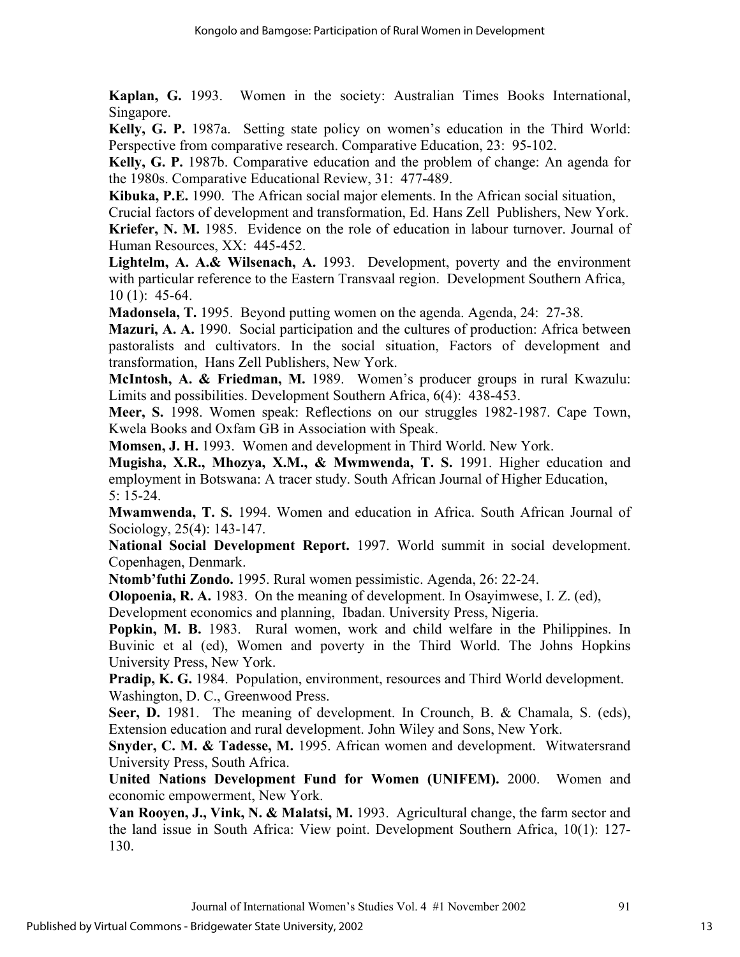**Kaplan, G.** 1993. Women in the society: Australian Times Books International, Singapore.

**Kelly, G. P.** 1987a. Setting state policy on women's education in the Third World: Perspective from comparative research. Comparative Education, 23: 95-102.

**Kelly, G. P.** 1987b. Comparative education and the problem of change: An agenda for the 1980s. Comparative Educational Review, 31: 477-489.

**Kibuka, P.E.** 1990. The African social major elements. In the African social situation,

Crucial factors of development and transformation, Ed. Hans Zell Publishers, New York. **Kriefer, N. M.** 1985. Evidence on the role of education in labour turnover. Journal of Human Resources, XX: 445-452.

**Lightelm, A. A.& Wilsenach, A.** 1993. Development, poverty and the environment with particular reference to the Eastern Transvaal region. Development Southern Africa, 10 (1): 45-64.

**Madonsela, T.** 1995. Beyond putting women on the agenda. Agenda, 24: 27-38.

**Mazuri, A. A.** 1990. Social participation and the cultures of production: Africa between pastoralists and cultivators. In the social situation, Factors of development and transformation, Hans Zell Publishers, New York.

**McIntosh, A. & Friedman, M.** 1989. Women's producer groups in rural Kwazulu: Limits and possibilities. Development Southern Africa, 6(4): 438-453.

**Meer, S.** 1998. Women speak: Reflections on our struggles 1982-1987. Cape Town, Kwela Books and Oxfam GB in Association with Speak.

**Momsen, J. H.** 1993. Women and development in Third World. New York.

**Mugisha, X.R., Mhozya, X.M., & Mwmwenda, T. S.** 1991. Higher education and employment in Botswana: A tracer study. South African Journal of Higher Education, 5: 15-24.

**Mwamwenda, T. S.** 1994. Women and education in Africa. South African Journal of Sociology, 25(4): 143-147.

**National Social Development Report.** 1997. World summit in social development. Copenhagen, Denmark.

**Ntomb'futhi Zondo.** 1995. Rural women pessimistic. Agenda, 26: 22-24.

**Olopoenia, R. A.** 1983. On the meaning of development. In Osayimwese, I. Z. (ed),

Development economics and planning, Ibadan. University Press, Nigeria.

**Popkin, M. B.** 1983. Rural women, work and child welfare in the Philippines. In Buvinic et al (ed), Women and poverty in the Third World. The Johns Hopkins University Press, New York.

**Pradip, K. G.** 1984. Population, environment, resources and Third World development. Washington, D. C., Greenwood Press.

**Seer, D.** 1981. The meaning of development. In Crounch, B. & Chamala, S. (eds), Extension education and rural development. John Wiley and Sons, New York.

**Snyder, C. M. & Tadesse, M.** 1995. African women and development. Witwatersrand University Press, South Africa.

**United Nations Development Fund for Women (UNIFEM).** 2000. Women and economic empowerment, New York.

**Van Rooyen, J., Vink, N. & Malatsi, M.** 1993. Agricultural change, the farm sector and the land issue in South Africa: View point. Development Southern Africa, 10(1): 127- 130.